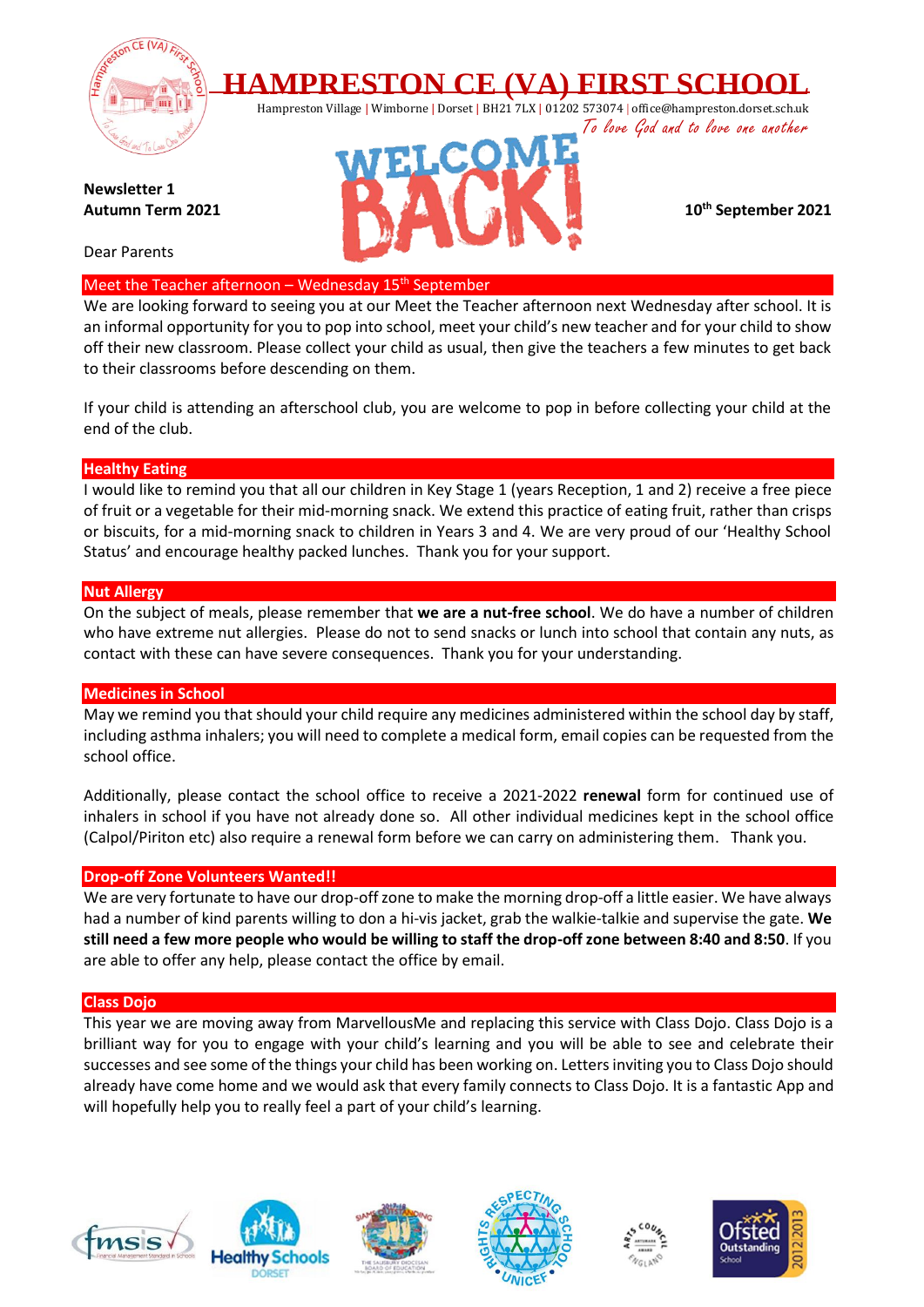

**HAMPRESTON CE (VA) FIRST SCHOOL**

Hampreston Village | Wimborne | Dorset | BH21 7LX | 01202 573074 | office@hampreston.dorset.sch.uk To love God and to love one another

**Newsletter 1 Autumn Term 2021** 

Dear Parents

Meet the Teacher afternoon - Wednesday 15<sup>th</sup> September

We are looking forward to seeing you at our Meet the Teacher afternoon next Wednesday after school. It is an informal opportunity for you to pop into school, meet your child's new teacher and for your child to show off their new classroom. Please collect your child as usual, then give the teachers a few minutes to get back to their classrooms before descending on them.

If your child is attending an afterschool club, you are welcome to pop in before collecting your child at the end of the club.

## **Healthy Eating**

I would like to remind you that all our children in Key Stage 1 (years Reception, 1 and 2) receive a free piece of fruit or a vegetable for their mid-morning snack. We extend this practice of eating fruit, rather than crisps or biscuits, for a mid-morning snack to children in Years 3 and 4. We are very proud of our 'Healthy School Status' and encourage healthy packed lunches. Thank you for your support.

## **Nut Allergy**

On the subject of meals, please remember that **we are a nut-free school**. We do have a number of children who have extreme nut allergies. Please do not to send snacks or lunch into school that contain any nuts, as contact with these can have severe consequences. Thank you for your understanding.

## **Medicines in School**

May we remind you that should your child require any medicines administered within the school day by staff, including asthma inhalers; you will need to complete a medical form, email copies can be requested from the school office.

Additionally, please contact the school office to receive a 2021-2022 **renewal** form for continued use of inhalers in school if you have not already done so. All other individual medicines kept in the school office (Calpol/Piriton etc) also require a renewal form before we can carry on administering them. Thank you.

## **Drop-off Zone Volunteers Wanted!!**

We are very fortunate to have our drop-off zone to make the morning drop-off a little easier. We have always had a number of kind parents willing to don a hi-vis jacket, grab the walkie-talkie and supervise the gate. **We still need a few more people who would be willing to staff the drop-off zone between 8:40 and 8:50**. If you are able to offer any help, please contact the office by email.

## **Class Dojo**

This year we are moving away from MarvellousMe and replacing this service with Class Dojo. Class Dojo is a brilliant way for you to engage with your child's learning and you will be able to see and celebrate their successes and see some of the things your child has been working on. Letters inviting you to Class Dojo should already have come home and we would ask that every family connects to Class Dojo. It is a fantastic App and will hopefully help you to really feel a part of your child's learning.













**th September 2021**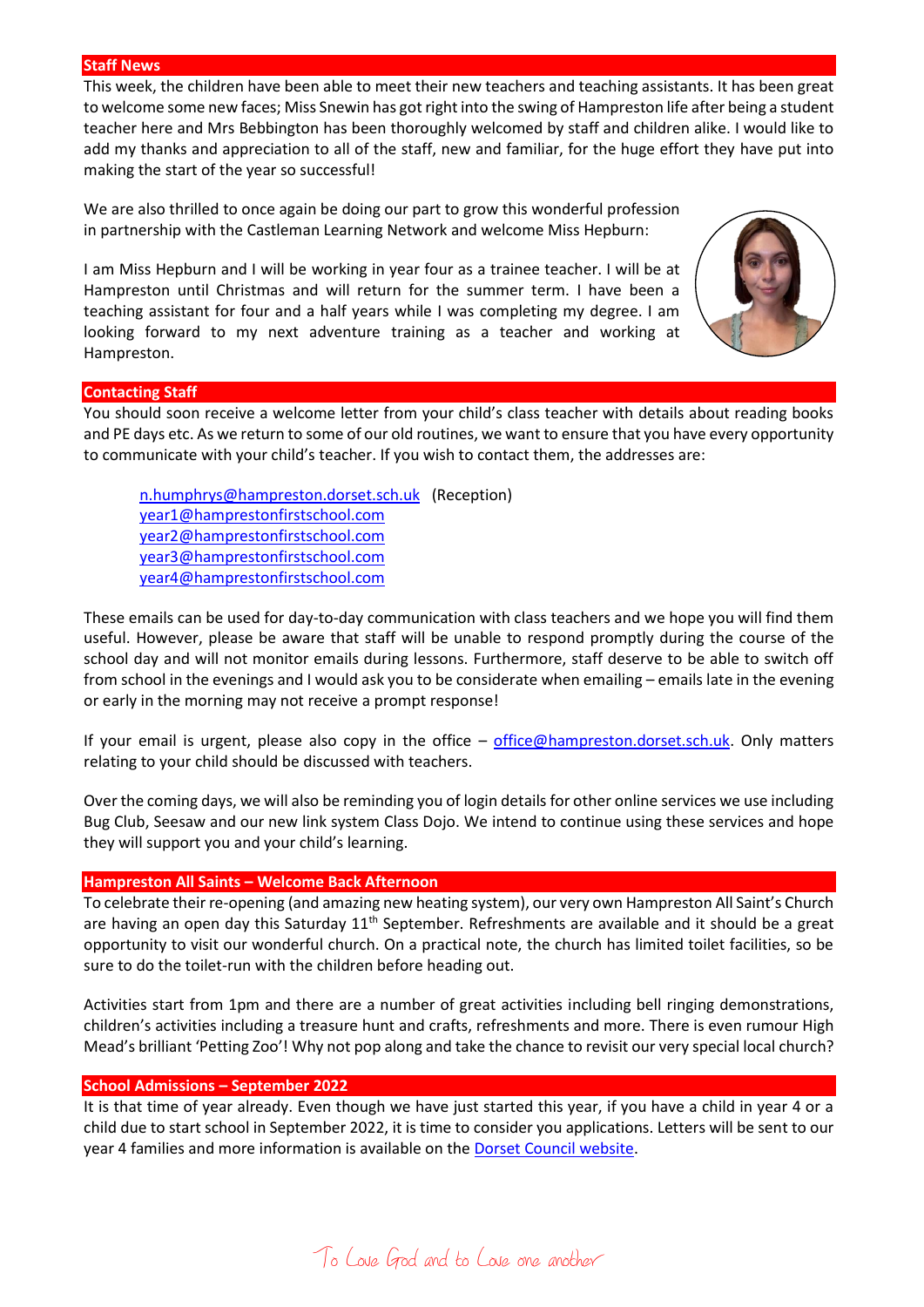#### **Staff News**

This week, the children have been able to meet their new teachers and teaching assistants. It has been great to welcome some new faces; Miss Snewin has got right into the swing of Hampreston life after being a student teacher here and Mrs Bebbington has been thoroughly welcomed by staff and children alike. I would like to add my thanks and appreciation to all of the staff, new and familiar, for the huge effort they have put into making the start of the year so successful!

We are also thrilled to once again be doing our part to grow this wonderful profession in partnership with the Castleman Learning Network and welcome Miss Hepburn:

I am Miss Hepburn and I will be working in year four as a trainee teacher. I will be at Hampreston until Christmas and will return for the summer term. I have been a teaching assistant for four and a half years while I was completing my degree. I am looking forward to my next adventure training as a teacher and working at Hampreston.



#### **Contacting Staff**

You should soon receive a welcome letter from your child's class teacher with details about reading books and PE days etc. As we return to some of our old routines, we want to ensure that you have every opportunity to communicate with your child's teacher. If you wish to contact them, the addresses are:

[n.humphrys@hampreston.dorset.sch.uk](mailto:n.humphrys@hampreston.dorset.sch.uk) (Reception) [year1@hamprestonfirstschool.com](mailto:year1@hamprestonfirstschool.com) [year2@hamprestonfirstschool.com](mailto:year2@hamprestonfirstschool.com) [year3@hamprestonfirstschool.com](mailto:year3@hamprestonfirstschool.com) [year4@hamprestonfirstschool.com](mailto:year4@hamprestonfirstschool.com)

These emails can be used for day-to-day communication with class teachers and we hope you will find them useful. However, please be aware that staff will be unable to respond promptly during the course of the school day and will not monitor emails during lessons. Furthermore, staff deserve to be able to switch off from school in the evenings and I would ask you to be considerate when emailing – emails late in the evening or early in the morning may not receive a prompt response!

If your email is urgent, please also copy in the office  $-$  [office@hampreston.dorset.sch.uk.](mailto:office@hampreston.dorset.sch.uk) Only matters relating to your child should be discussed with teachers.

Over the coming days, we will also be reminding you of login details for other online services we use including Bug Club, Seesaw and our new link system Class Dojo. We intend to continue using these services and hope they will support you and your child's learning.

### **Hampreston All Saints – Welcome Back Afternoon**

To celebrate their re-opening (and amazing new heating system), our very own Hampreston All Saint's Church are having an open day this Saturday 11<sup>th</sup> September. Refreshments are available and it should be a great opportunity to visit our wonderful church. On a practical note, the church has limited toilet facilities, so be sure to do the toilet-run with the children before heading out.

Activities start from 1pm and there are a number of great activities including bell ringing demonstrations, children's activities including a treasure hunt and crafts, refreshments and more. There is even rumour High Mead's brilliant 'Petting Zoo'! Why not pop along and take the chance to revisit our very special local church?

#### **School Admissions – September 2022**

It is that time of year already. Even though we have just started this year, if you have a child in year 4 or a child due to start school in September 2022, it is time to consider you applications. Letters will be sent to our year 4 families and more information is available on the [Dorset Council website.](https://www.dorsetcouncil.gov.uk/education-and-training/schools-and-learning/apply-for-a-school-place/apply-for-a-school-place)

To Love God and to Love one another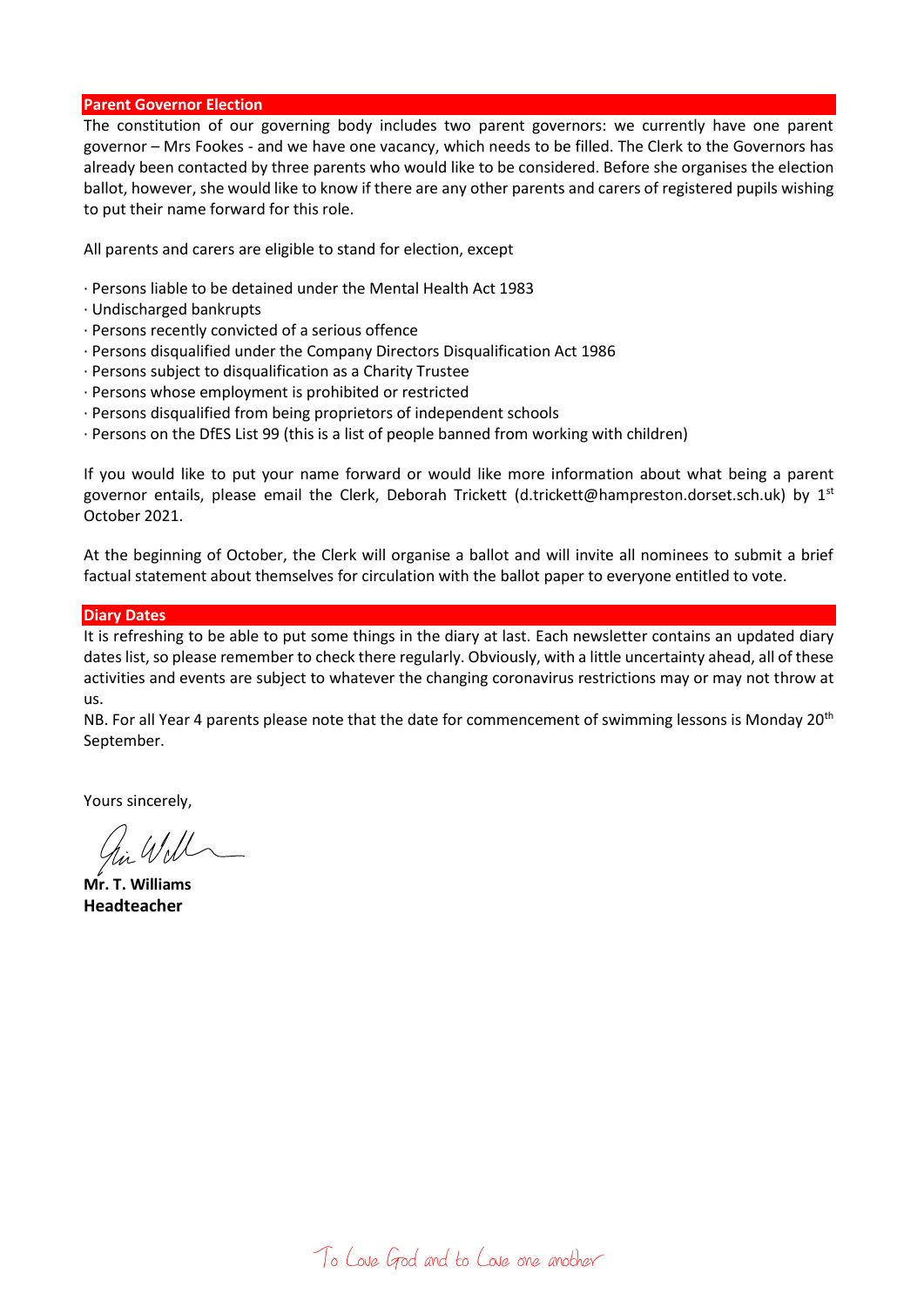### **Parent Governor Election**

The constitution of our governing body includes two parent governors: we currently have one parent governor – Mrs Fookes - and we have one vacancy, which needs to be filled. The Clerk to the Governors has already been contacted by three parents who would like to be considered. Before she organises the election ballot, however, she would like to know if there are any other parents and carers of registered pupils wishing to put their name forward for this role.

All parents and carers are eligible to stand for election, except

- · Persons liable to be detained under the Mental Health Act 1983
- · Undischarged bankrupts
- · Persons recently convicted of a serious offence
- · Persons disqualified under the Company Directors Disqualification Act 1986
- · Persons subject to disqualification as a Charity Trustee
- · Persons whose employment is prohibited or restricted
- · Persons disqualified from being proprietors of independent schools
- · Persons on the DfES List 99 (this is a list of people banned from working with children)

If you would like to put your name forward or would like more information about what being a parent governor entails, please email the Clerk, Deborah Trickett (d.trickett@hampreston.dorset.sch.uk) by  $1<sup>st</sup>$ October 2021.

At the beginning of October, the Clerk will organise a ballot and will invite all nominees to submit a brief factual statement about themselves for circulation with the ballot paper to everyone entitled to vote.

### **Diary Dates**

It is refreshing to be able to put some things in the diary at last. Each newsletter contains an updated diary dates list, so please remember to check there regularly. Obviously, with a little uncertainty ahead, all of these activities and events are subject to whatever the changing coronavirus restrictions may or may not throw at us.

NB. For all Year 4 parents please note that the date for commencement of swimming lessons is Monday 20<sup>th</sup> September.

Yours sincerely,

**Mr. T. Williams Headteacher**

To Love God and to Love one another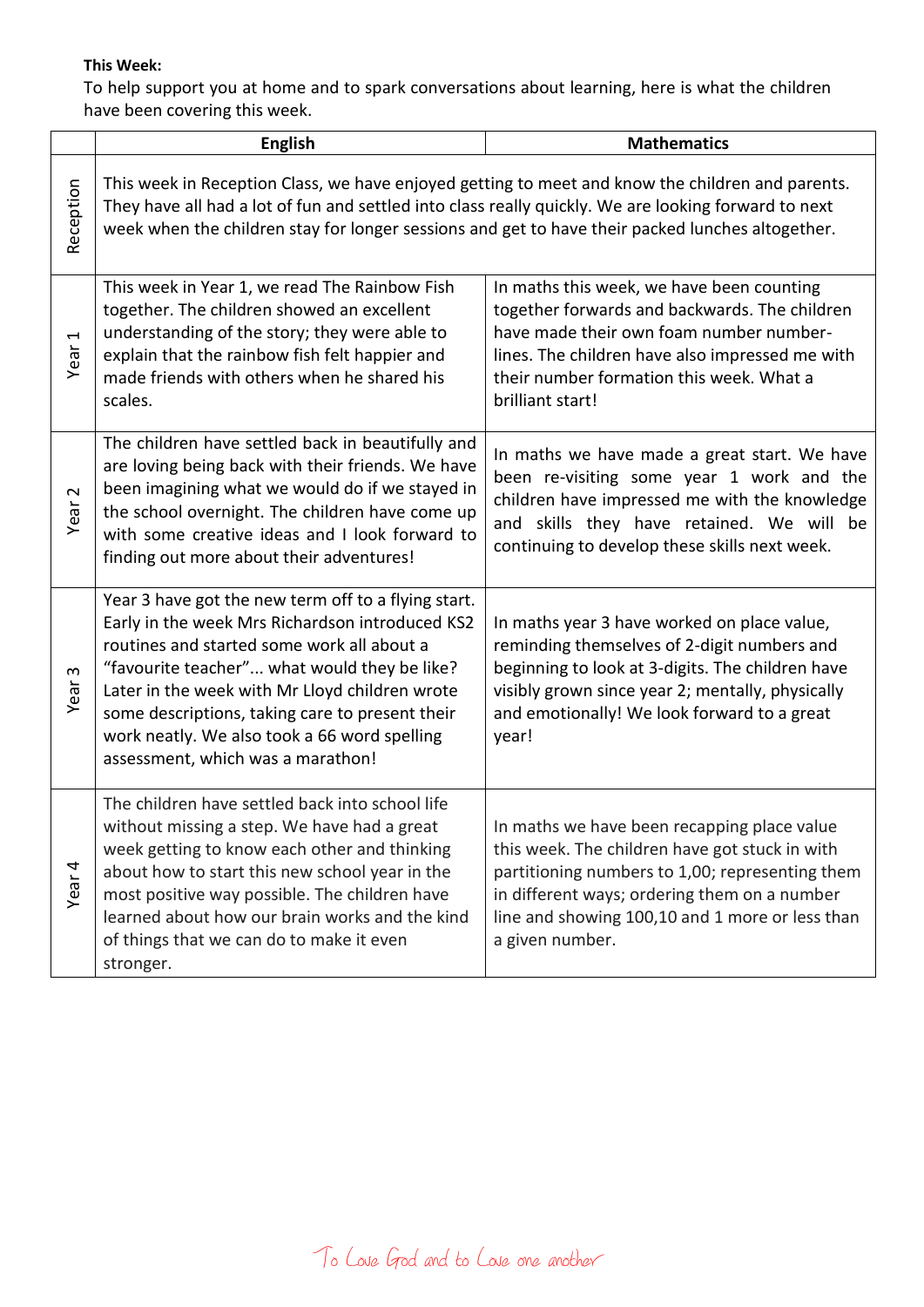# **This Week:**

To help support you at home and to spark conversations about learning, here is what the children have been covering this week.

|                              | <b>English</b>                                                                                                                                                                                                                                                                                                                                                                                 | <b>Mathematics</b>                                                                                                                                                                                                                                                     |
|------------------------------|------------------------------------------------------------------------------------------------------------------------------------------------------------------------------------------------------------------------------------------------------------------------------------------------------------------------------------------------------------------------------------------------|------------------------------------------------------------------------------------------------------------------------------------------------------------------------------------------------------------------------------------------------------------------------|
| Reception                    | This week in Reception Class, we have enjoyed getting to meet and know the children and parents.<br>They have all had a lot of fun and settled into class really quickly. We are looking forward to next<br>week when the children stay for longer sessions and get to have their packed lunches altogether.                                                                                   |                                                                                                                                                                                                                                                                        |
| $\blacktriangleleft$<br>Year | This week in Year 1, we read The Rainbow Fish<br>together. The children showed an excellent<br>understanding of the story; they were able to<br>explain that the rainbow fish felt happier and<br>made friends with others when he shared his<br>scales.                                                                                                                                       | In maths this week, we have been counting<br>together forwards and backwards. The children<br>have made their own foam number number-<br>lines. The children have also impressed me with<br>their number formation this week. What a<br>brilliant start!               |
| $\sim$<br>Year               | The children have settled back in beautifully and<br>are loving being back with their friends. We have<br>been imagining what we would do if we stayed in<br>the school overnight. The children have come up<br>with some creative ideas and I look forward to<br>finding out more about their adventures!                                                                                     | In maths we have made a great start. We have<br>been re-visiting some year 1 work and the<br>children have impressed me with the knowledge<br>and skills they have retained. We will be<br>continuing to develop these skills next week.                               |
| S<br>Year                    | Year 3 have got the new term off to a flying start.<br>Early in the week Mrs Richardson introduced KS2<br>routines and started some work all about a<br>"favourite teacher" what would they be like?<br>Later in the week with Mr Lloyd children wrote<br>some descriptions, taking care to present their<br>work neatly. We also took a 66 word spelling<br>assessment, which was a marathon! | In maths year 3 have worked on place value,<br>reminding themselves of 2-digit numbers and<br>beginning to look at 3-digits. The children have<br>visibly grown since year 2; mentally, physically<br>and emotionally! We look forward to a great<br>year!             |
| Year <sub>4</sub>            | The children have settled back into school life<br>without missing a step. We have had a great<br>week getting to know each other and thinking<br>about how to start this new school year in the<br>most positive way possible. The children have<br>learned about how our brain works and the kind<br>of things that we can do to make it even<br>stronger.                                   | In maths we have been recapping place value<br>this week. The children have got stuck in with<br>partitioning numbers to 1,00; representing them<br>in different ways; ordering them on a number<br>line and showing 100,10 and 1 more or less than<br>a given number. |